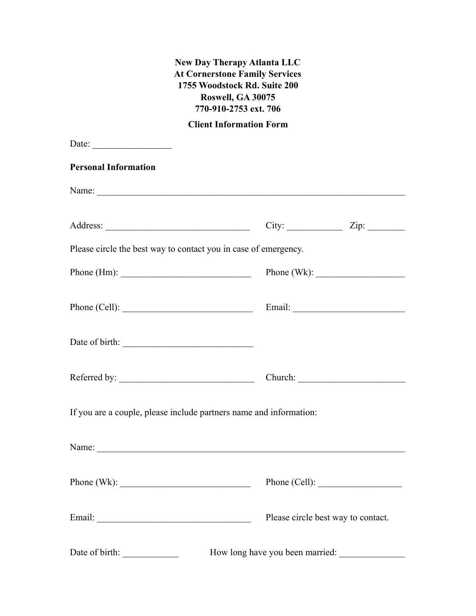# **New Day Therapy Atlanta LLC At Cornerstone Family Services 1755 Woodstock Rd. Suite 200 Roswell, GA 30075 770-910-2753 ext. 706**

**Client Information Form**

| Date:                         |                                                                    |  |
|-------------------------------|--------------------------------------------------------------------|--|
| <b>Personal Information</b>   |                                                                    |  |
|                               |                                                                    |  |
|                               |                                                                    |  |
|                               | Please circle the best way to contact you in case of emergency.    |  |
| Phone (Hm): $\frac{1}{2}$     | Phone (Wk): $\qquad \qquad$                                        |  |
| Phone (Cell): $\qquad \qquad$ |                                                                    |  |
|                               |                                                                    |  |
|                               |                                                                    |  |
|                               | If you are a couple, please include partners name and information: |  |
|                               |                                                                    |  |
|                               | Phone (Wk): $\qquad \qquad$ Phone (Cell):                          |  |
|                               | Please circle best way to contact.                                 |  |
| Date of birth:                | How long have you been married:                                    |  |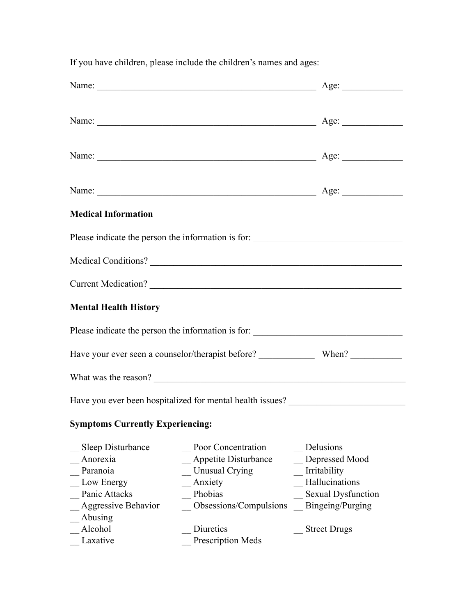| <b>Medical Information</b>              |                                                                                   |                           |
|-----------------------------------------|-----------------------------------------------------------------------------------|---------------------------|
|                                         | Please indicate the person the information is for:                                |                           |
|                                         |                                                                                   |                           |
|                                         | Current Medication?                                                               |                           |
| <b>Mental Health History</b>            |                                                                                   |                           |
|                                         | Please indicate the person the information is for: ______________________________ |                           |
|                                         |                                                                                   |                           |
|                                         | What was the reason?                                                              |                           |
|                                         | Have you ever been hospitalized for mental health issues? ______________________  |                           |
| <b>Symptoms Currently Experiencing:</b> |                                                                                   |                           |
| Sleep Disturbance                       | Poor Concentration                                                                | Delusions                 |
| Anorexia                                | Appetite Disturbance                                                              | Depressed Mood            |
| Paranoia                                | <b>Unusual Crying</b>                                                             | Irritability              |
| Low Energy                              | Anxiety                                                                           | Hallucinations            |
| Panic Attacks                           | Phobias                                                                           | <b>Sexual Dysfunction</b> |
| Aggressive Behavior                     | Obsessions/Compulsions                                                            | Bingeing/Purging          |
| Abusing                                 |                                                                                   |                           |
| Alcohol                                 | Diuretics                                                                         | <b>Street Drugs</b>       |
| Laxative                                | <b>Prescription Meds</b>                                                          |                           |

If you have children, please include the children's names and ages: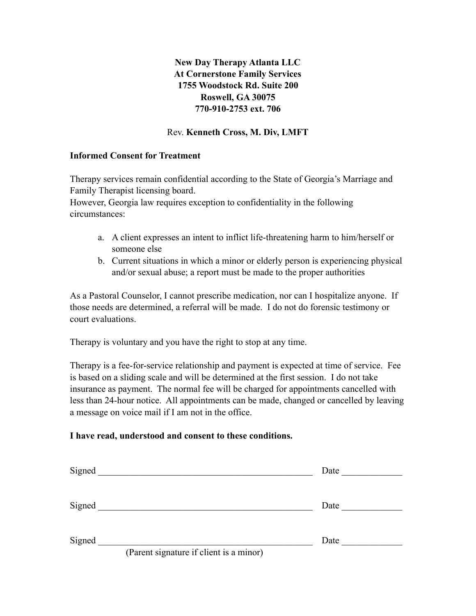**New Day Therapy Atlanta LLC At Cornerstone Family Services 1755 Woodstock Rd. Suite 200 Roswell, GA 30075 770-910-2753 ext. 706** 

## Rev. **Kenneth Cross, M. Div, LMFT**

## **Informed Consent for Treatment**

Therapy services remain confidential according to the State of Georgia's Marriage and Family Therapist licensing board.

However, Georgia law requires exception to confidentiality in the following circumstances:

- a. A client expresses an intent to inflict life-threatening harm to him/herself or someone else
- b. Current situations in which a minor or elderly person is experiencing physical and/or sexual abuse; a report must be made to the proper authorities

As a Pastoral Counselor, I cannot prescribe medication, nor can I hospitalize anyone. If those needs are determined, a referral will be made. I do not do forensic testimony or court evaluations.

Therapy is voluntary and you have the right to stop at any time.

Therapy is a fee-for-service relationship and payment is expected at time of service. Fee is based on a sliding scale and will be determined at the first session. I do not take insurance as payment. The normal fee will be charged for appointments cancelled with less than 24-hour notice. All appointments can be made, changed or cancelled by leaving a message on voice mail if I am not in the office.

## **I have read, understood and consent to these conditions.**

| Signed |                                         | Date |  |
|--------|-----------------------------------------|------|--|
| Signed |                                         | Date |  |
| Signed | (Parent signature if client is a minor) | Date |  |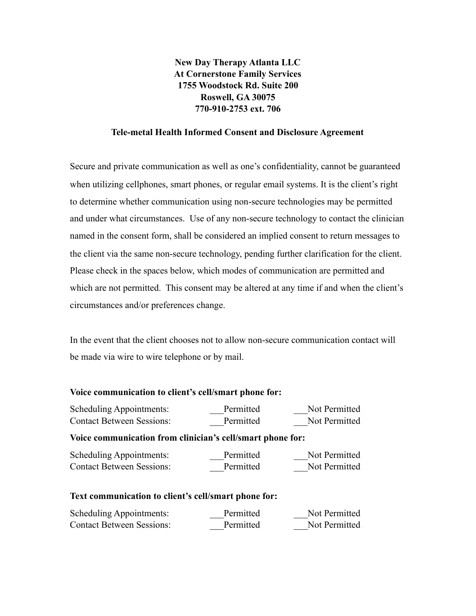**New Day Therapy Atlanta LLC At Cornerstone Family Services 1755 Woodstock Rd. Suite 200 Roswell, GA 30075 770-910-2753 ext. 706** 

#### **Tele-metal Health Informed Consent and Disclosure Agreement**

Secure and private communication as well as one's confidentiality, cannot be guaranteed when utilizing cellphones, smart phones, or regular email systems. It is the client's right to determine whether communication using non-secure technologies may be permitted and under what circumstances. Use of any non-secure technology to contact the clinician named in the consent form, shall be considered an implied consent to return messages to the client via the same non-secure technology, pending further clarification for the client. Please check in the spaces below, which modes of communication are permitted and which are not permitted. This consent may be altered at any time if and when the client's circumstances and/or preferences change.

In the event that the client chooses not to allow non-secure communication contact will be made via wire to wire telephone or by mail.

#### **Voice communication to client's cell/smart phone for:**

| Scheduling Appointments:                                   | Permitted | Not Permitted |
|------------------------------------------------------------|-----------|---------------|
| <b>Contact Between Sessions:</b>                           | Permitted | Not Permitted |
| Voice communication from clinician's cell/smart phone for: |           |               |
| Scheduling Appointments:                                   | Permitted | Not Permitted |
| <b>Contact Between Sessions:</b>                           | Permitted | Not Permitted |
| Text communication to client's cell/smart phone for:       |           |               |
| <b>Scheduling Appointments:</b>                            | Permitted | Not Permitted |
| <b>Contact Between Sessions:</b>                           | Permitted | Not Permitted |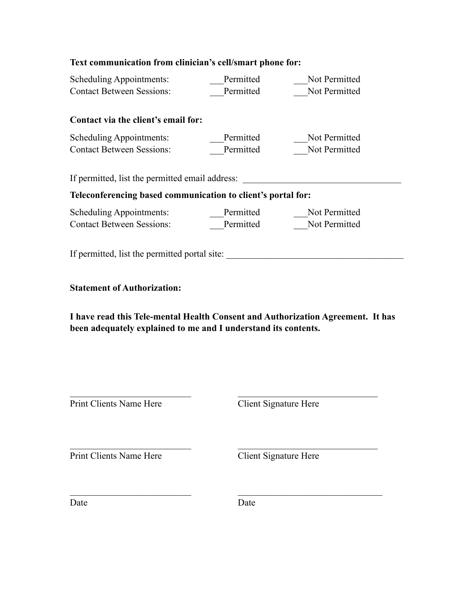| Text communication from clinician's cell/smart phone for:                                                             |           |                       |  |
|-----------------------------------------------------------------------------------------------------------------------|-----------|-----------------------|--|
| <b>Scheduling Appointments:</b>                                                                                       | Permitted | Not Permitted         |  |
| <b>Contact Between Sessions:</b>                                                                                      | Permitted | Not Permitted         |  |
| Contact via the client's email for:                                                                                   |           |                       |  |
| <b>Scheduling Appointments:</b>                                                                                       | Permitted | Not Permitted         |  |
| <b>Contact Between Sessions:</b>                                                                                      | Permitted | Not Permitted         |  |
| If permitted, list the permitted email address:                                                                       |           |                       |  |
| Teleconferencing based communication to client's portal for:                                                          |           |                       |  |
| Scheduling Appointments:                                                                                              | Permitted | Not Permitted         |  |
| <b>Contact Between Sessions:</b>                                                                                      | Permitted | Not Permitted         |  |
| <b>Statement of Authorization:</b><br>I have read this Tele-mental Health Consent and Authorization Agreement. It has |           |                       |  |
| been adequately explained to me and I understand its contents.                                                        |           |                       |  |
| Print Clients Name Here                                                                                               |           | Client Signature Here |  |
| Print Clients Name Here                                                                                               |           | Client Signature Here |  |
| Date                                                                                                                  | Date      |                       |  |